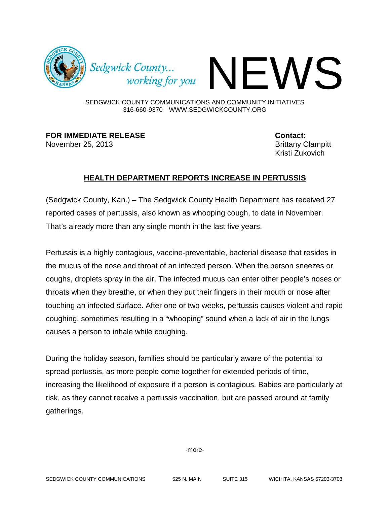

Sedgwick County...<br>working for you

SEDGWICK COUNTY COMMUNICATIONS AND COMMUNITY INITIATIVES 316-660-9370 WWW.SEDGWICKCOUNTY.ORG

**FOR IMMEDIATE RELEASE Contact:** November 25, 2013 **Brittany Clampitt** 

Kristi Zukovich

## **HEALTH DEPARTMENT REPORTS INCREASE IN PERTUSSIS**

(Sedgwick County, Kan.) – The Sedgwick County Health Department has received 27 reported cases of pertussis, also known as whooping cough, to date in November. That's already more than any single month in the last five years.

Pertussis is a highly contagious, vaccine-preventable, bacterial disease that resides in the mucus of the nose and throat of an infected person. When the person sneezes or coughs, droplets spray in the air. The infected mucus can enter other people's noses or throats when they breathe, or when they put their fingers in their mouth or nose after touching an infected surface. After one or two weeks, pertussis causes violent and rapid coughing, sometimes resulting in a "whooping" sound when a lack of air in the lungs causes a person to inhale while coughing.

During the holiday season, families should be particularly aware of the potential to spread pertussis, as more people come together for extended periods of time, increasing the likelihood of exposure if a person is contagious. Babies are particularly at risk, as they cannot receive a pertussis vaccination, but are passed around at family gatherings.

-more-